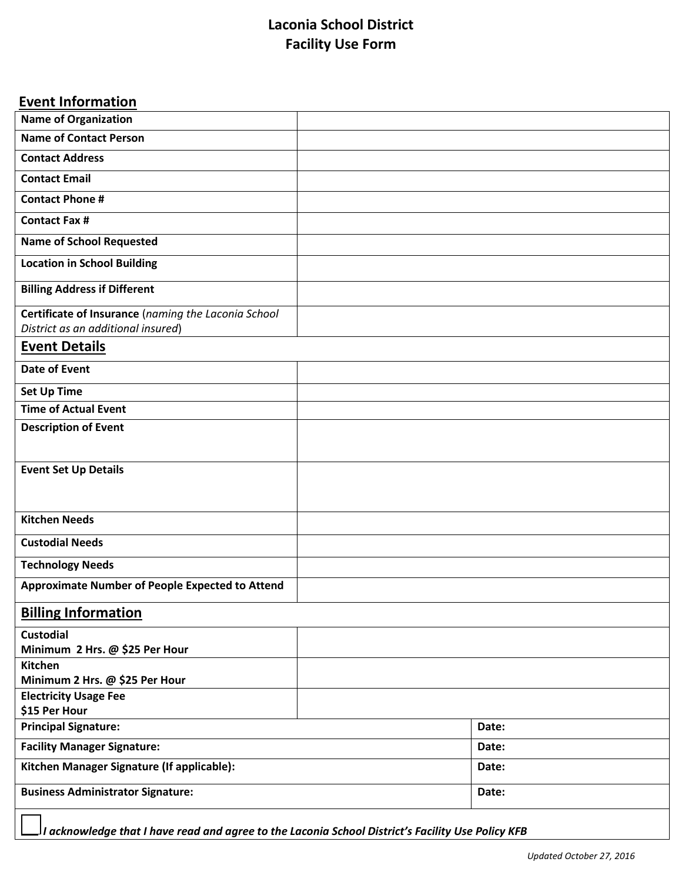# **Laconia School District Facility Use Form**

# **Event Information**

| <b>Name of Organization</b>                         |  |       |  |  |  |  |
|-----------------------------------------------------|--|-------|--|--|--|--|
| <b>Name of Contact Person</b>                       |  |       |  |  |  |  |
| <b>Contact Address</b>                              |  |       |  |  |  |  |
| <b>Contact Email</b>                                |  |       |  |  |  |  |
| <b>Contact Phone #</b>                              |  |       |  |  |  |  |
| <b>Contact Fax #</b>                                |  |       |  |  |  |  |
| <b>Name of School Requested</b>                     |  |       |  |  |  |  |
| <b>Location in School Building</b>                  |  |       |  |  |  |  |
| <b>Billing Address if Different</b>                 |  |       |  |  |  |  |
| Certificate of Insurance (naming the Laconia School |  |       |  |  |  |  |
| District as an additional insured)                  |  |       |  |  |  |  |
| <b>Event Details</b>                                |  |       |  |  |  |  |
| <b>Date of Event</b>                                |  |       |  |  |  |  |
| <b>Set Up Time</b>                                  |  |       |  |  |  |  |
| <b>Time of Actual Event</b>                         |  |       |  |  |  |  |
| <b>Description of Event</b>                         |  |       |  |  |  |  |
| <b>Event Set Up Details</b>                         |  |       |  |  |  |  |
| <b>Kitchen Needs</b>                                |  |       |  |  |  |  |
| <b>Custodial Needs</b>                              |  |       |  |  |  |  |
|                                                     |  |       |  |  |  |  |
| <b>Technology Needs</b>                             |  |       |  |  |  |  |
| Approximate Number of People Expected to Attend     |  |       |  |  |  |  |
| <b>Billing Information</b>                          |  |       |  |  |  |  |
| <b>Custodial</b><br>Minimum 2 Hrs. @ \$25 Per Hour  |  |       |  |  |  |  |
| Kitchen                                             |  |       |  |  |  |  |
| Minimum 2 Hrs. @ \$25 Per Hour                      |  |       |  |  |  |  |
| <b>Electricity Usage Fee</b>                        |  |       |  |  |  |  |
| \$15 Per Hour                                       |  |       |  |  |  |  |
| <b>Principal Signature:</b>                         |  | Date: |  |  |  |  |
| <b>Facility Manager Signature:</b>                  |  | Date: |  |  |  |  |
| Kitchen Manager Signature (If applicable):          |  | Date: |  |  |  |  |
| <b>Business Administrator Signature:</b>            |  | Date: |  |  |  |  |
|                                                     |  |       |  |  |  |  |

 *I acknowledge that I have read and agree to the Laconia School District's Facility Use Policy KFB*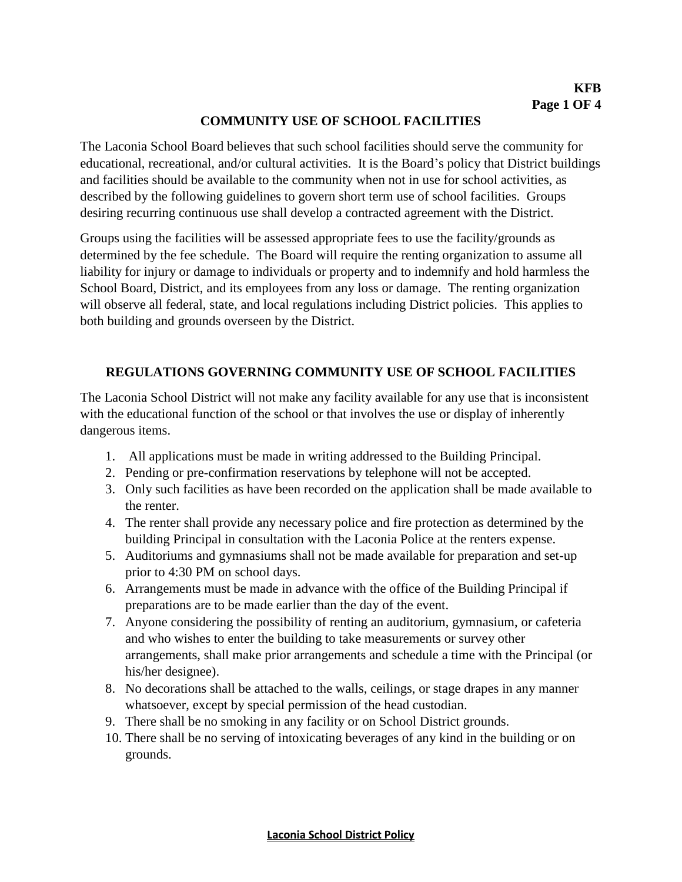#### **COMMUNITY USE OF SCHOOL FACILITIES**

The Laconia School Board believes that such school facilities should serve the community for educational, recreational, and/or cultural activities. It is the Board's policy that District buildings and facilities should be available to the community when not in use for school activities, as described by the following guidelines to govern short term use of school facilities. Groups desiring recurring continuous use shall develop a contracted agreement with the District.

Groups using the facilities will be assessed appropriate fees to use the facility/grounds as determined by the fee schedule. The Board will require the renting organization to assume all liability for injury or damage to individuals or property and to indemnify and hold harmless the School Board, District, and its employees from any loss or damage. The renting organization will observe all federal, state, and local regulations including District policies. This applies to both building and grounds overseen by the District.

#### **REGULATIONS GOVERNING COMMUNITY USE OF SCHOOL FACILITIES**

The Laconia School District will not make any facility available for any use that is inconsistent with the educational function of the school or that involves the use or display of inherently dangerous items.

- 1. All applications must be made in writing addressed to the Building Principal.
- 2. Pending or pre-confirmation reservations by telephone will not be accepted.
- 3. Only such facilities as have been recorded on the application shall be made available to the renter.
- 4. The renter shall provide any necessary police and fire protection as determined by the building Principal in consultation with the Laconia Police at the renters expense.
- 5. Auditoriums and gymnasiums shall not be made available for preparation and set-up prior to 4:30 PM on school days.
- 6. Arrangements must be made in advance with the office of the Building Principal if preparations are to be made earlier than the day of the event.
- 7. Anyone considering the possibility of renting an auditorium, gymnasium, or cafeteria and who wishes to enter the building to take measurements or survey other arrangements, shall make prior arrangements and schedule a time with the Principal (or his/her designee).
- 8. No decorations shall be attached to the walls, ceilings, or stage drapes in any manner whatsoever, except by special permission of the head custodian.
- 9. There shall be no smoking in any facility or on School District grounds.
- 10. There shall be no serving of intoxicating beverages of any kind in the building or on grounds.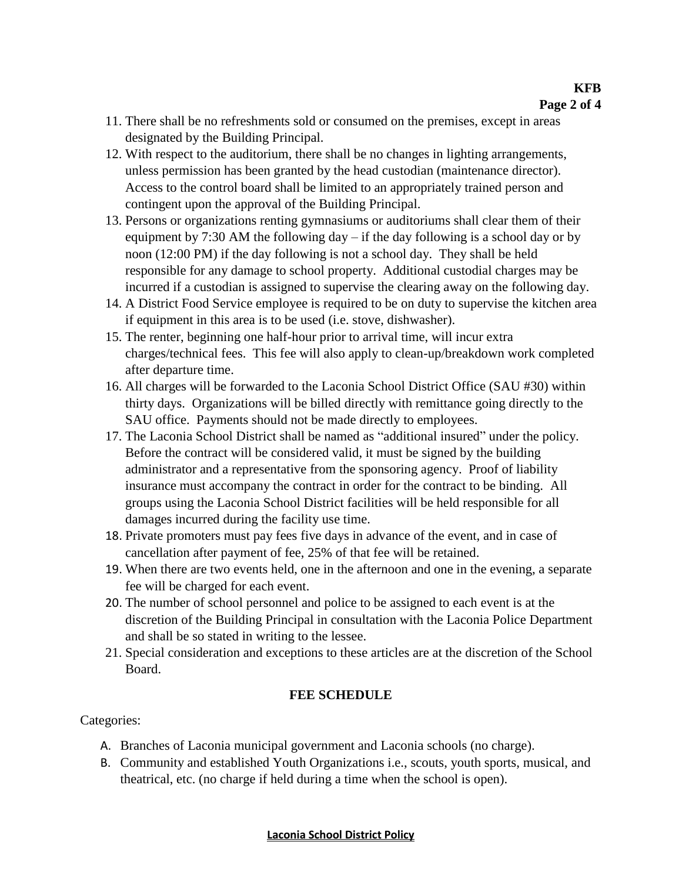- 11. There shall be no refreshments sold or consumed on the premises, except in areas designated by the Building Principal.
- 12. With respect to the auditorium, there shall be no changes in lighting arrangements, unless permission has been granted by the head custodian (maintenance director). Access to the control board shall be limited to an appropriately trained person and contingent upon the approval of the Building Principal.
- 13. Persons or organizations renting gymnasiums or auditoriums shall clear them of their equipment by 7:30 AM the following day  $-$  if the day following is a school day or by noon (12:00 PM) if the day following is not a school day. They shall be held responsible for any damage to school property. Additional custodial charges may be incurred if a custodian is assigned to supervise the clearing away on the following day.
- 14. A District Food Service employee is required to be on duty to supervise the kitchen area if equipment in this area is to be used (i.e. stove, dishwasher).
- 15. The renter, beginning one half-hour prior to arrival time, will incur extra charges/technical fees. This fee will also apply to clean-up/breakdown work completed after departure time.
- 16. All charges will be forwarded to the Laconia School District Office (SAU #30) within thirty days. Organizations will be billed directly with remittance going directly to the SAU office. Payments should not be made directly to employees.
- 17. The Laconia School District shall be named as "additional insured" under the policy. Before the contract will be considered valid, it must be signed by the building administrator and a representative from the sponsoring agency. Proof of liability insurance must accompany the contract in order for the contract to be binding. All groups using the Laconia School District facilities will be held responsible for all damages incurred during the facility use time.
- 18. Private promoters must pay fees five days in advance of the event, and in case of cancellation after payment of fee, 25% of that fee will be retained.
- 19. When there are two events held, one in the afternoon and one in the evening, a separate fee will be charged for each event.
- 20. The number of school personnel and police to be assigned to each event is at the discretion of the Building Principal in consultation with the Laconia Police Department and shall be so stated in writing to the lessee.
- 21. Special consideration and exceptions to these articles are at the discretion of the School Board.

### **FEE SCHEDULE**

Categories:

- A. Branches of Laconia municipal government and Laconia schools (no charge).
- B. Community and established Youth Organizations i.e., scouts, youth sports, musical, and theatrical, etc. (no charge if held during a time when the school is open).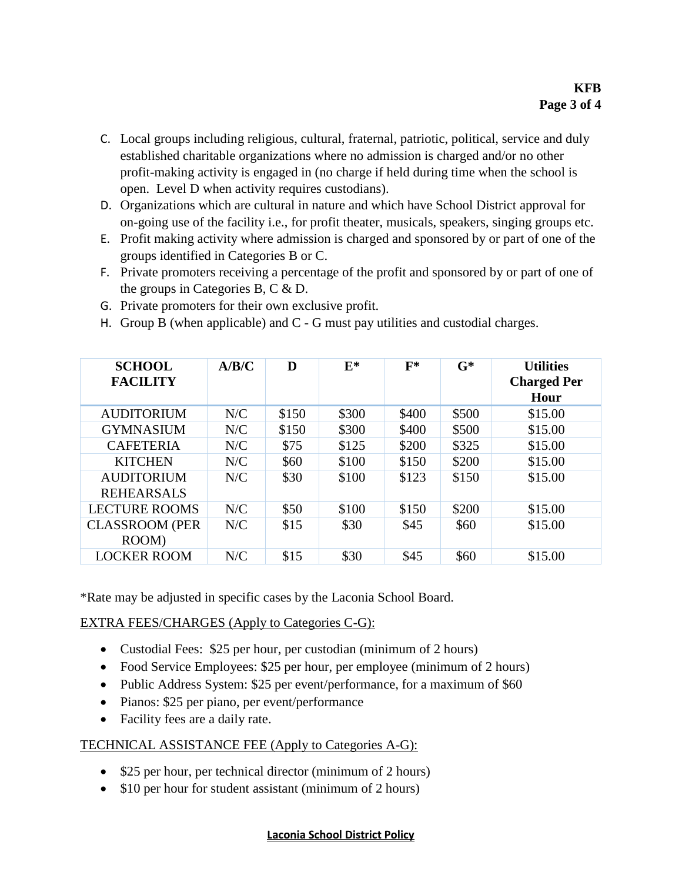- C. Local groups including religious, cultural, fraternal, patriotic, political, service and duly established charitable organizations where no admission is charged and/or no other profit-making activity is engaged in (no charge if held during time when the school is open. Level D when activity requires custodians).
- D. Organizations which are cultural in nature and which have School District approval for on-going use of the facility i.e., for profit theater, musicals, speakers, singing groups etc.
- E. Profit making activity where admission is charged and sponsored by or part of one of the groups identified in Categories B or C.
- F. Private promoters receiving a percentage of the profit and sponsored by or part of one of the groups in Categories B, C & D.
- G. Private promoters for their own exclusive profit.
- H. Group B (when applicable) and  $C G$  must pay utilities and custodial charges.

| <b>SCHOOL</b><br><b>FACILITY</b> | A/B/C | D     | $E^*$ | $F^*$ | $G^*$ | <b>Utilities</b><br><b>Charged Per</b><br>Hour |
|----------------------------------|-------|-------|-------|-------|-------|------------------------------------------------|
| <b>AUDITORIUM</b>                | N/C   | \$150 | \$300 | \$400 | \$500 | \$15.00                                        |
| <b>GYMNASIUM</b>                 | N/C   | \$150 | \$300 | \$400 | \$500 | \$15.00                                        |
| <b>CAFETERIA</b>                 | N/C   | \$75  | \$125 | \$200 | \$325 | \$15.00                                        |
| <b>KITCHEN</b>                   | N/C   | \$60  | \$100 | \$150 | \$200 | \$15.00                                        |
| <b>AUDITORIUM</b>                | N/C   | \$30  | \$100 | \$123 | \$150 | \$15.00                                        |
| <b>REHEARSALS</b>                |       |       |       |       |       |                                                |
| <b>LECTURE ROOMS</b>             | N/C   | \$50  | \$100 | \$150 | \$200 | \$15.00                                        |
| <b>CLASSROOM (PER</b>            | N/C   | \$15  | \$30  | \$45  | \$60  | \$15.00                                        |
| ROOM)                            |       |       |       |       |       |                                                |
| <b>LOCKER ROOM</b>               | N/C   | \$15  | \$30  | \$45  | \$60  | \$15.00                                        |

\*Rate may be adjusted in specific cases by the Laconia School Board.

EXTRA FEES/CHARGES (Apply to Categories C-G):

- Custodial Fees: \$25 per hour, per custodian (minimum of 2 hours)
- Food Service Employees: \$25 per hour, per employee (minimum of 2 hours)
- Public Address System: \$25 per event/performance, for a maximum of \$60
- Pianos: \$25 per piano, per event/performance
- Facility fees are a daily rate.

### TECHNICAL ASSISTANCE FEE (Apply to Categories A-G):

- \$25 per hour, per technical director (minimum of 2 hours)
- \$10 per hour for student assistant (minimum of 2 hours)

#### **Laconia School District Policy**